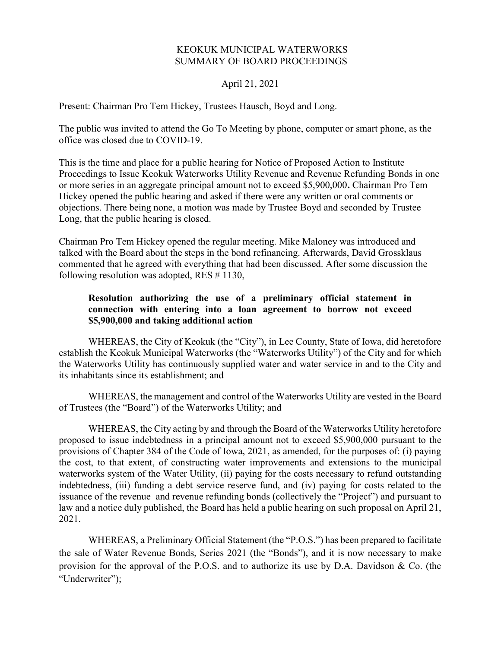## KEOKUK MUNICIPAL WATERWORKS SUMMARY OF BOARD PROCEEDINGS

## April 21, 2021

Present: Chairman Pro Tem Hickey, Trustees Hausch, Boyd and Long.

The public was invited to attend the Go To Meeting by phone, computer or smart phone, as the office was closed due to COVID-19.

This is the time and place for a public hearing for Notice of Proposed Action to Institute Proceedings to Issue Keokuk Waterworks Utility Revenue and Revenue Refunding Bonds in one or more series in an aggregate principal amount not to exceed \$5,900,000. Chairman Pro Tem Hickey opened the public hearing and asked if there were any written or oral comments or objections. There being none, a motion was made by Trustee Boyd and seconded by Trustee Long, that the public hearing is closed.

Chairman Pro Tem Hickey opened the regular meeting. Mike Maloney was introduced and talked with the Board about the steps in the bond refinancing. Afterwards, David Grossklaus commented that he agreed with everything that had been discussed. After some discussion the following resolution was adopted, RES # 1130,

## Resolution authorizing the use of a preliminary official statement in connection with entering into a loan agreement to borrow not exceed \$5,900,000 and taking additional action

WHEREAS, the City of Keokuk (the "City"), in Lee County, State of Iowa, did heretofore establish the Keokuk Municipal Waterworks (the "Waterworks Utility") of the City and for which the Waterworks Utility has continuously supplied water and water service in and to the City and its inhabitants since its establishment; and

WHEREAS, the management and control of the Waterworks Utility are vested in the Board of Trustees (the "Board") of the Waterworks Utility; and

WHEREAS, the City acting by and through the Board of the Waterworks Utility heretofore proposed to issue indebtedness in a principal amount not to exceed \$5,900,000 pursuant to the provisions of Chapter 384 of the Code of Iowa, 2021, as amended, for the purposes of: (i) paying the cost, to that extent, of constructing water improvements and extensions to the municipal waterworks system of the Water Utility, (ii) paying for the costs necessary to refund outstanding indebtedness, (iii) funding a debt service reserve fund, and (iv) paying for costs related to the issuance of the revenue and revenue refunding bonds (collectively the "Project") and pursuant to law and a notice duly published, the Board has held a public hearing on such proposal on April 21, 2021.

WHEREAS, a Preliminary Official Statement (the "P.O.S.") has been prepared to facilitate the sale of Water Revenue Bonds, Series 2021 (the "Bonds"), and it is now necessary to make provision for the approval of the P.O.S. and to authorize its use by D.A. Davidson & Co. (the "Underwriter");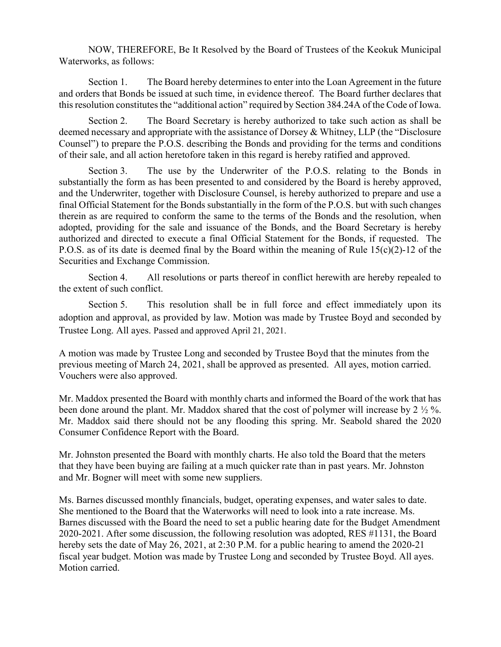NOW, THEREFORE, Be It Resolved by the Board of Trustees of the Keokuk Municipal Waterworks, as follows:

Section 1. The Board hereby determines to enter into the Loan Agreement in the future and orders that Bonds be issued at such time, in evidence thereof. The Board further declares that this resolution constitutes the "additional action" required by Section 384.24A of the Code of Iowa.

Section 2. The Board Secretary is hereby authorized to take such action as shall be deemed necessary and appropriate with the assistance of Dorsey & Whitney, LLP (the "Disclosure Counsel") to prepare the P.O.S. describing the Bonds and providing for the terms and conditions of their sale, and all action heretofore taken in this regard is hereby ratified and approved.

Section 3. The use by the Underwriter of the P.O.S. relating to the Bonds in substantially the form as has been presented to and considered by the Board is hereby approved, and the Underwriter, together with Disclosure Counsel, is hereby authorized to prepare and use a final Official Statement for the Bonds substantially in the form of the P.O.S. but with such changes therein as are required to conform the same to the terms of the Bonds and the resolution, when adopted, providing for the sale and issuance of the Bonds, and the Board Secretary is hereby authorized and directed to execute a final Official Statement for the Bonds, if requested. The P.O.S. as of its date is deemed final by the Board within the meaning of Rule 15(c)(2)-12 of the Securities and Exchange Commission.

Section 4. All resolutions or parts thereof in conflict herewith are hereby repealed to the extent of such conflict.

Section 5. This resolution shall be in full force and effect immediately upon its adoption and approval, as provided by law. Motion was made by Trustee Boyd and seconded by Trustee Long. All ayes. Passed and approved April 21, 2021.

A motion was made by Trustee Long and seconded by Trustee Boyd that the minutes from the previous meeting of March 24, 2021, shall be approved as presented. All ayes, motion carried. Vouchers were also approved.

Mr. Maddox presented the Board with monthly charts and informed the Board of the work that has been done around the plant. Mr. Maddox shared that the cost of polymer will increase by 2 ½ %. Mr. Maddox said there should not be any flooding this spring. Mr. Seabold shared the 2020 Consumer Confidence Report with the Board.

Mr. Johnston presented the Board with monthly charts. He also told the Board that the meters that they have been buying are failing at a much quicker rate than in past years. Mr. Johnston and Mr. Bogner will meet with some new suppliers.

Ms. Barnes discussed monthly financials, budget, operating expenses, and water sales to date. She mentioned to the Board that the Waterworks will need to look into a rate increase. Ms. Barnes discussed with the Board the need to set a public hearing date for the Budget Amendment 2020-2021. After some discussion, the following resolution was adopted, RES #1131, the Board hereby sets the date of May 26, 2021, at 2:30 P.M. for a public hearing to amend the 2020-21 fiscal year budget. Motion was made by Trustee Long and seconded by Trustee Boyd. All ayes. Motion carried.